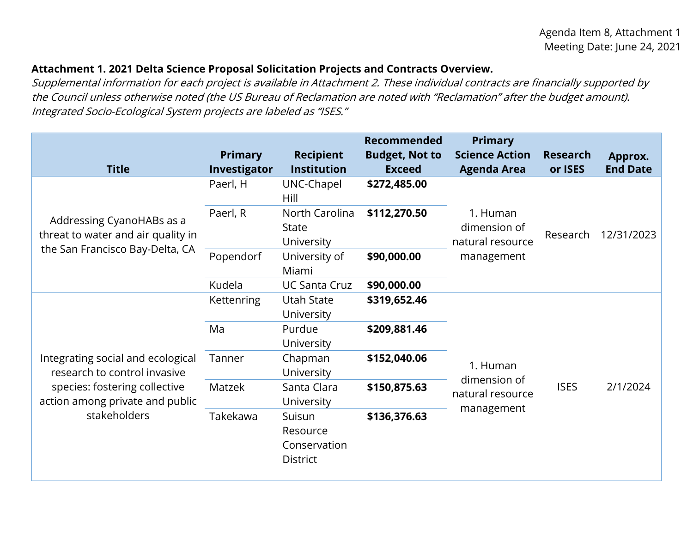## **Attachment 1. 2021 Delta Science Proposal Solicitation Projects and Contracts Overview.**

Supplemental information for each project is available in Attachment 2. These individual contracts are financially supported by the Council unless otherwise noted (the US Bureau of Reclamation are noted with "Reclamation" after the budget amount). Integrated Socio-Ecological System projects are labeled as "ISES."

| <b>Title</b>                                                                                                                                          | <b>Primary</b><br>Investigator | <b>Recipient</b><br><b>Institution</b>                | <b>Recommended</b><br><b>Budget, Not to</b><br><b>Exceed</b> | <b>Primary</b><br><b>Science Action</b><br><b>Agenda Area</b>             | <b>Research</b><br>or ISES | Approx.<br><b>End Date</b> |
|-------------------------------------------------------------------------------------------------------------------------------------------------------|--------------------------------|-------------------------------------------------------|--------------------------------------------------------------|---------------------------------------------------------------------------|----------------------------|----------------------------|
| Addressing CyanoHABs as a<br>threat to water and air quality in<br>the San Francisco Bay-Delta, CA                                                    | Paerl, H                       | UNC-Chapel<br>Hill                                    | \$272,485.00                                                 |                                                                           |                            |                            |
|                                                                                                                                                       | Paerl, R                       | North Carolina<br><b>State</b><br>University          | \$112,270.50                                                 | 1. Human<br>dimension of<br>natural resource                              | Research                   | 12/31/2023                 |
|                                                                                                                                                       | Popendorf                      | University of<br>Miami                                | \$90,000.00                                                  | management                                                                |                            |                            |
|                                                                                                                                                       | Kudela                         | <b>UC Santa Cruz</b>                                  | \$90,000.00                                                  |                                                                           |                            |                            |
| Integrating social and ecological<br>research to control invasive<br>species: fostering collective<br>action among private and public<br>stakeholders | <b>Kettenring</b>              | <b>Utah State</b><br>University                       | \$319,652.46                                                 | 1. Human<br>dimension of<br><b>ISES</b><br>natural resource<br>management |                            | 2/1/2024                   |
|                                                                                                                                                       | Ma                             | Purdue<br>University                                  | \$209,881.46                                                 |                                                                           |                            |                            |
|                                                                                                                                                       | Tanner                         | Chapman<br>University                                 | \$152,040.06                                                 |                                                                           |                            |                            |
|                                                                                                                                                       | Matzek                         | Santa Clara<br>University                             | \$150,875.63                                                 |                                                                           |                            |                            |
|                                                                                                                                                       | Takekawa                       | Suisun<br>Resource<br>Conservation<br><b>District</b> | \$136,376.63                                                 |                                                                           |                            |                            |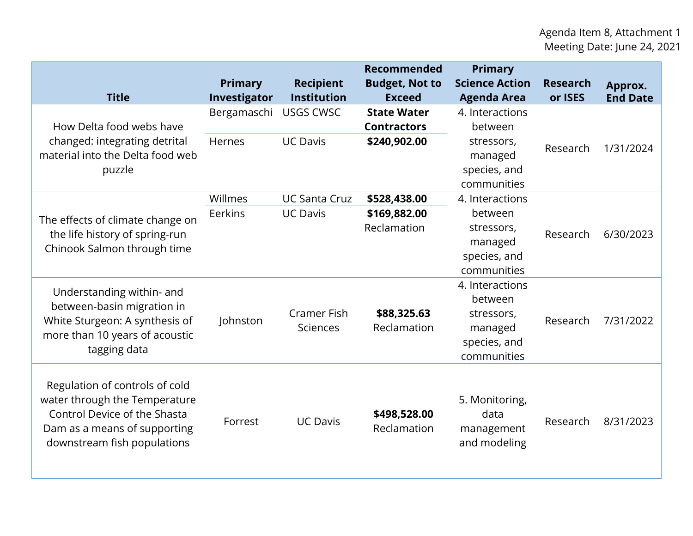| <b>Title</b>                                                                                                                                                   | Primary<br>Investigator | <b>Recipient</b><br><b>Institution</b>  | <b>Recommended</b><br><b>Budget, Not to</b><br><b>Exceed</b> | <b>Primary</b><br><b>Science Action</b><br><b>Agenda Area</b>                      | <b>Research</b><br>or ISES | Approx.<br><b>End Date</b> |
|----------------------------------------------------------------------------------------------------------------------------------------------------------------|-------------------------|-----------------------------------------|--------------------------------------------------------------|------------------------------------------------------------------------------------|----------------------------|----------------------------|
| How Delta food webs have<br>changed: integrating detrital<br>material into the Delta food web<br>puzzle                                                        | Bergamaschi<br>Hernes   | <b>USGS CWSC</b><br><b>UC Davis</b>     | <b>State Water</b><br><b>Contractors</b><br>\$240,902.00     | 4. Interactions<br>between<br>stressors,<br>managed<br>species, and<br>communities | Research                   | 1/31/2024                  |
| The effects of climate change on<br>the life history of spring-run<br>Chinook Salmon through time                                                              | Willmes<br>Eerkins      | <b>UC Santa Cruz</b><br><b>UC Davis</b> | \$528,438.00<br>\$169,882.00<br>Reclamation                  | 4. Interactions<br>between<br>stressors,<br>managed<br>species, and<br>communities | Research                   | 6/30/2023                  |
| Understanding within- and<br>between-basin migration in<br>White Sturgeon: A synthesis of<br>more than 10 years of acoustic<br>tagging data                    | Johnston                | <b>Cramer Fish</b><br><b>Sciences</b>   | \$88,325.63<br>Reclamation                                   | 4. Interactions<br>between<br>stressors,<br>managed<br>species, and<br>communities | Research                   | 7/31/2022                  |
| Regulation of controls of cold<br>water through the Temperature<br>Control Device of the Shasta<br>Dam as a means of supporting<br>downstream fish populations | Forrest                 | <b>UC Davis</b>                         | \$498,528.00<br>Reclamation                                  | 5. Monitoring,<br>data<br>management<br>and modeling                               | Research                   | 8/31/2023                  |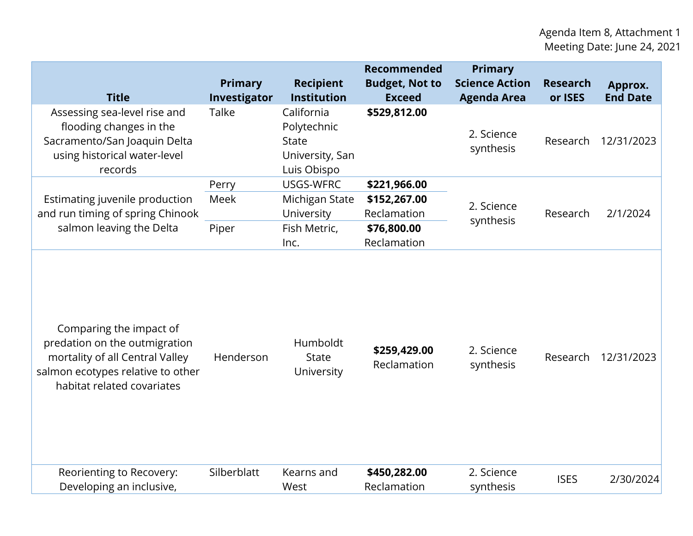| <b>Title</b>                                                                                                                                                   | <b>Primary</b><br>Investigator | <b>Recipient</b><br><b>Institution</b>                                      | <b>Recommended</b><br><b>Budget, Not to</b><br><b>Exceed</b> | <b>Primary</b><br><b>Science Action</b><br><b>Agenda Area</b> | <b>Research</b><br>or ISES | Approx.<br><b>End Date</b> |
|----------------------------------------------------------------------------------------------------------------------------------------------------------------|--------------------------------|-----------------------------------------------------------------------------|--------------------------------------------------------------|---------------------------------------------------------------|----------------------------|----------------------------|
| Assessing sea-level rise and<br>flooding changes in the<br>Sacramento/San Joaquin Delta<br>using historical water-level<br>records                             | Talke                          | California<br>Polytechnic<br><b>State</b><br>University, San<br>Luis Obispo | \$529,812.00                                                 | 2. Science<br>synthesis                                       | Research                   | 12/31/2023                 |
| Estimating juvenile production<br>and run timing of spring Chinook<br>salmon leaving the Delta                                                                 | Perry<br>Meek<br>Piper         | USGS-WFRC<br>Michigan State<br>University<br>Fish Metric,                   | \$221,966.00<br>\$152,267.00<br>Reclamation<br>\$76,800.00   | 2. Science<br>synthesis                                       | Research                   | 2/1/2024                   |
|                                                                                                                                                                |                                | Inc.                                                                        | Reclamation                                                  |                                                               |                            |                            |
| Comparing the impact of<br>predation on the outmigration<br>mortality of all Central Valley<br>salmon ecotypes relative to other<br>habitat related covariates | Henderson                      | Humboldt<br><b>State</b><br>University                                      | \$259,429.00<br>Reclamation                                  | 2. Science<br>synthesis                                       | Research                   | 12/31/2023                 |
| Reorienting to Recovery:<br>Developing an inclusive,                                                                                                           | Silberblatt                    | Kearns and<br>West                                                          | \$450,282.00<br>Reclamation                                  | 2. Science<br>synthesis                                       | <b>ISES</b>                | 2/30/2024                  |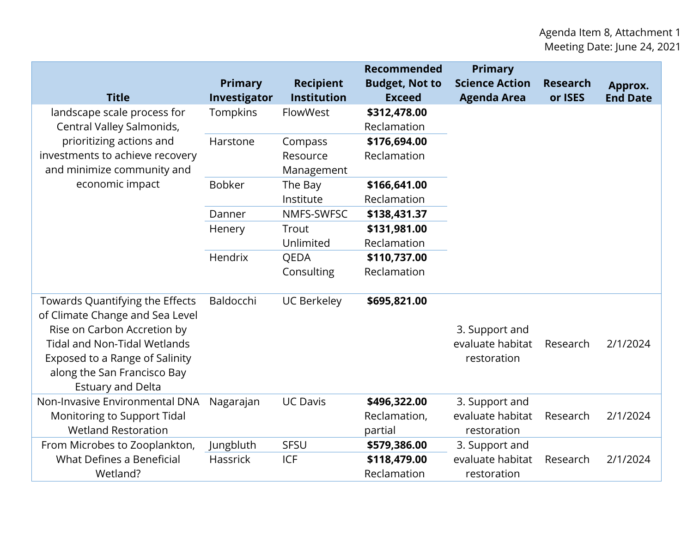| <b>Title</b>                                                                                                                                                                                                                          | <b>Primary</b><br>Investigator | <b>Recipient</b><br><b>Institution</b> | Recommended<br><b>Budget, Not to</b><br><b>Exceed</b> | <b>Primary</b><br><b>Science Action</b><br><b>Agenda Area</b> | <b>Research</b><br>or ISES | Approx.<br><b>End Date</b> |
|---------------------------------------------------------------------------------------------------------------------------------------------------------------------------------------------------------------------------------------|--------------------------------|----------------------------------------|-------------------------------------------------------|---------------------------------------------------------------|----------------------------|----------------------------|
| landscape scale process for<br>Central Valley Salmonids,<br>prioritizing actions and<br>investments to achieve recovery<br>and minimize community and                                                                                 | <b>Tompkins</b>                | FlowWest                               | \$312,478.00<br>Reclamation                           |                                                               |                            |                            |
|                                                                                                                                                                                                                                       | Harstone                       | Compass<br>Resource<br>Management      | \$176,694.00<br>Reclamation                           |                                                               |                            |                            |
| economic impact                                                                                                                                                                                                                       | <b>Bobker</b>                  | The Bay<br>Institute                   | \$166,641.00<br>Reclamation                           |                                                               |                            |                            |
|                                                                                                                                                                                                                                       | Danner                         | NMFS-SWFSC                             | \$138,431.37                                          |                                                               |                            |                            |
|                                                                                                                                                                                                                                       | Henery                         | Trout<br>Unlimited                     | \$131,981.00<br>Reclamation                           |                                                               |                            |                            |
|                                                                                                                                                                                                                                       | Hendrix                        | QEDA<br>Consulting                     | \$110,737.00<br>Reclamation                           |                                                               |                            |                            |
| Towards Quantifying the Effects<br>of Climate Change and Sea Level<br>Rise on Carbon Accretion by<br><b>Tidal and Non-Tidal Wetlands</b><br>Exposed to a Range of Salinity<br>along the San Francisco Bay<br><b>Estuary and Delta</b> | Baldocchi                      | <b>UC Berkeley</b>                     | \$695,821.00                                          | 3. Support and<br>evaluate habitat<br>restoration             | Research                   | 2/1/2024                   |
| Non-Invasive Environmental DNA<br>Monitoring to Support Tidal<br><b>Wetland Restoration</b>                                                                                                                                           | Nagarajan                      | <b>UC Davis</b>                        | \$496,322.00<br>Reclamation,<br>partial               | 3. Support and<br>evaluate habitat<br>restoration             | Research                   | 2/1/2024                   |
| From Microbes to Zooplankton,<br>What Defines a Beneficial<br>Wetland?                                                                                                                                                                | Jungbluth<br><b>Hassrick</b>   | <b>SFSU</b><br><b>ICF</b>              | \$579,386.00<br>\$118,479.00<br>Reclamation           | 3. Support and<br>evaluate habitat<br>restoration             | Research                   | 2/1/2024                   |